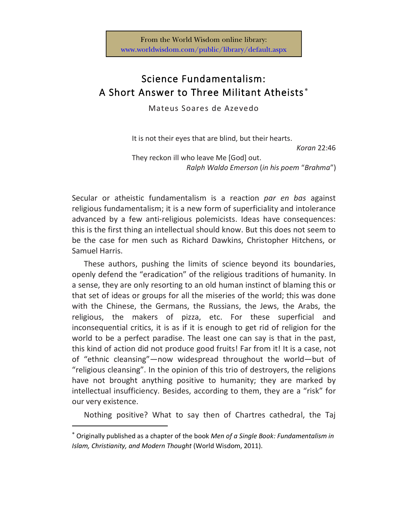## Science Fundamentalism: A Short Answer to Three Militant Atheists

Mateus Soares de Azevedo

It is not their eyes that are blind, but their hearts.

*Koran* 22:46

They reckon ill who leave Me [God] out. *Ralph Waldo Emerson* (*in his poem* "*Brahma*")

Secular or atheistic fundamentalism is a reaction *par en bas* against religious fundamentalism; it is a new form of superficiality and intolerance advanced by a few anti-religious polemicists. Ideas have consequences: this is the first thing an intellectual should know. But this does not seem to be the case for men such as Richard Dawkins, Christopher Hitchens, or Samuel Harris.

These authors, pushing the limits of science beyond its boundaries, openly defend the "eradication" of the religious traditions of humanity. In a sense, they are only resorting to an old human instinct of blaming this or that set of ideas or groups for all the miseries of the world; this was done with the Chinese, the Germans, the Russians, the Jews, the Arabs, the religious, the makers of pizza, etc. For these superficial and inconsequential critics, it is as if it is enough to get rid of religion for the world to be a perfect paradise. The least one can say is that in the past, this kind of action did not produce good fruits! Far from it! It is a case, not of "ethnic cleansing"—now widespread throughout the world—but of "religious cleansing". In the opinion of this trio of destroyers, the religions have not brought anything positive to humanity; they are marked by intellectual insufficiency. Besides, according to them, they are a "risk" for our very existence.

Nothing positive? What to say then of Chartres cathedral, the Taj

Originally published as a chapter of the book *Men of a Single Book: Fundamentalism in Islam, Christianity, and Modern Thought* (World Wisdom, 2011).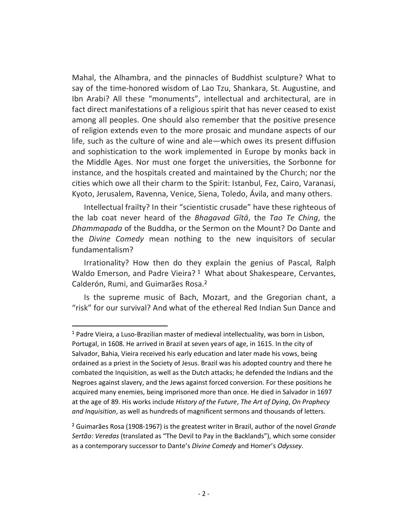Mahal, the Alhambra, and the pinnacles of Buddhist sculpture? What to say of the time-honored wisdom of Lao Tzu, Shankara, St. Augustine, and Ibn Arabi? All these "monuments", intellectual and architectural, are in fact direct manifestations of a religious spirit that has never ceased to exist among all peoples. One should also remember that the positive presence of religion extends even to the more prosaic and mundane aspects of our life, such as the culture of wine and ale—which owes its present diffusion and sophistication to the work implemented in Europe by monks back in the Middle Ages. Nor must one forget the universities, the Sorbonne for instance, and the hospitals created and maintained by the Church; nor the cities which owe all their charm to the Spirit: Istanbul, Fez, Cairo, Varanasi, Kyoto, Jerusalem, Ravenna, Venice, Siena, Toledo, Ávila, and many others.

Intellectual frailty? In their "scientistic crusade" have these righteous of the lab coat never heard of the *Bhagavad Gītā*, the *Tao Te Ching*, the *Dhammapada* of the Buddha, or the Sermon on the Mount? Do Dante and the *Divine Comedy* mean nothing to the new inquisitors of secular fundamentalism?

Irrationality? How then do they explain the genius of Pascal, Ralph Waldo Emerson, and Padre Vieira?<sup>1</sup> What about Shakespeare, Cervantes, Calderón, Rumi, and Guimarães Rosa.<sup>2</sup>

Is the supreme music of Bach, Mozart, and the Gregorian chant, a "risk" for our survival? And what of the ethereal Red Indian Sun Dance and

<sup>2</sup> Guimarães Rosa (1908-1967) is the greatest writer in Brazil, author of the novel *Grande Sertão: Veredas* (translated as "The Devil to Pay in the Backlands"), which some consider as a contemporary successor to Dante's *Divine Comedy* and Homer's *Odyssey.*

<sup>1</sup> Padre Vieira, a Luso-Brazilian master of medieval intellectuality, was born in Lisbon, Portugal, in 1608. He arrived in Brazil at seven years of age, in 1615. In the city of Salvador, Bahia, Vieira received his early education and later made his vows, being ordained as a priest in the Society of Jesus. Brazil was his adopted country and there he combated the Inquisition, as well as the Dutch attacks; he defended the Indians and the Negroes against slavery, and the Jews against forced conversion. For these positions he acquired many enemies, being imprisoned more than once. He died in Salvador in 1697 at the age of 89. His works include *History of the Future*, *The Art of Dying*, *On Prophecy and Inquisition*, as well as hundreds of magnificent sermons and thousands of letters.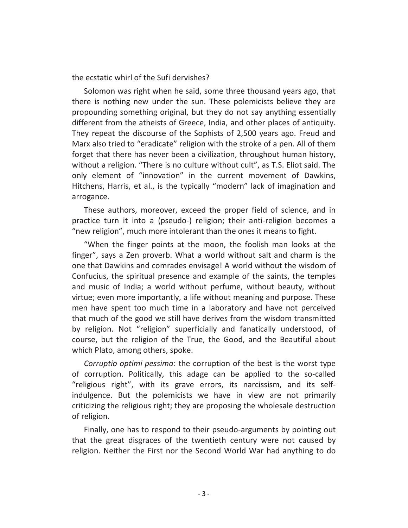the ecstatic whirl of the Sufi dervishes?

Solomon was right when he said, some three thousand years ago, that there is nothing new under the sun. These polemicists believe they are propounding something original, but they do not say anything essentially different from the atheists of Greece, India, and other places of antiquity. They repeat the discourse of the Sophists of 2,500 years ago. Freud and Marx also tried to "eradicate" religion with the stroke of a pen. All of them forget that there has never been a civilization, throughout human history, without a religion. "There is no culture without cult", as T.S. Eliot said. The only element of "innovation" in the current movement of Dawkins, Hitchens, Harris, et al., is the typically "modern" lack of imagination and arrogance.

These authors, moreover, exceed the proper field of science, and in practice turn it into a (pseudo-) religion; their anti-religion becomes a "new religion", much more intolerant than the ones it means to fight.

"When the finger points at the moon, the foolish man looks at the finger", says a Zen proverb. What a world without salt and charm is the one that Dawkins and comrades envisage! A world without the wisdom of Confucius, the spiritual presence and example of the saints, the temples and music of India; a world without perfume, without beauty, without virtue; even more importantly, a life without meaning and purpose. These men have spent too much time in a laboratory and have not perceived that much of the good we still have derives from the wisdom transmitted by religion. Not "religion" superficially and fanatically understood, of course, but the religion of the True, the Good, and the Beautiful about which Plato, among others, spoke.

*Corruptio optimi pessima*: the corruption of the best is the worst type of corruption. Politically, this adage can be applied to the so-called "religious right", with its grave errors, its narcissism, and its selfindulgence. But the polemicists we have in view are not primarily criticizing the religious right; they are proposing the wholesale destruction of religion.

Finally, one has to respond to their pseudo-arguments by pointing out that the great disgraces of the twentieth century were not caused by religion. Neither the First nor the Second World War had anything to do